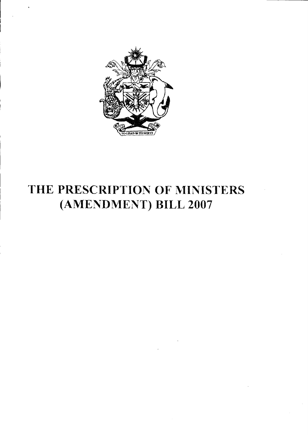

# THE PRESCRIPTION OF MINISTERS (AMENDMENT) BILL 2007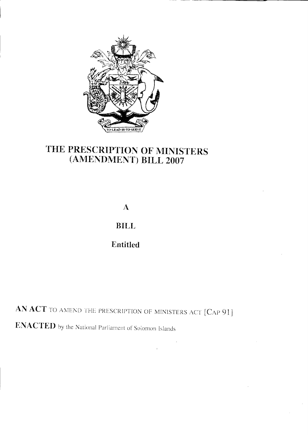

# THE PRESCRIPTION OF MINISTERS (AMENDMENT) BILL 2007

 $\mathbf{A}$ 

**BILL** 

Entitled

AN ACT TO AMEND THE PRESCRIPTION OF MINISTERS ACT [CAP 91]

**ENACTED** by the National Parliament of Solomon Islands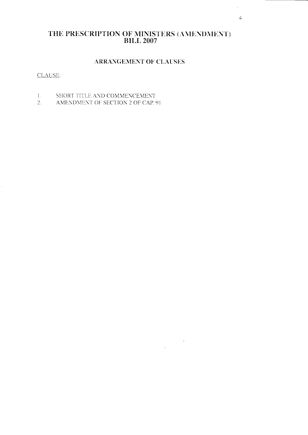## THE PRESCRIPTION OF MINISTERS (AMENDMENT) **BILL 2007**

#### ARRANGEMENT OF CLAUSES

 $\label{eq:2} \frac{1}{\sqrt{2}}\left(\frac{1}{\sqrt{2}}\right)^{2} \frac{1}{\sqrt{2}}\left(\frac{1}{\sqrt{2}}\right)^{2} \frac{1}{\sqrt{2}}\left(\frac{1}{\sqrt{2}}\right)^{2} \frac{1}{\sqrt{2}}\left(\frac{1}{\sqrt{2}}\right)^{2} \frac{1}{\sqrt{2}}\left(\frac{1}{\sqrt{2}}\right)^{2} \frac{1}{\sqrt{2}}\left(\frac{1}{\sqrt{2}}\right)^{2} \frac{1}{\sqrt{2}}\left(\frac{1}{\sqrt{2}}\right)^{2} \frac{1}{\sqrt{2}}\left(\frac{1}{$ 

 $\sim$   $\mu$ 

#### CLAUSE:

- 1. SHORT TITLE AND COMMENCEMENT
- $2.$ AMENDMENT OF SECTION 2 OF CAP. 91

 $\hat{\mathcal{L}}$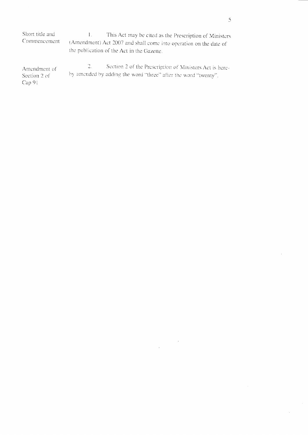Short title and This Act may be cited as the Prescription of Ministers  $1.$ Commencement (Amendment) Act 2007 and shall come into operation on the date of the publication of the Act in the Gazette.

Section 2 of the Prescription of Ministers Act is here- $\overline{2}$ . Amendment of by amended by adding the word "three" after the word "twenty". Section 2 of Cap 91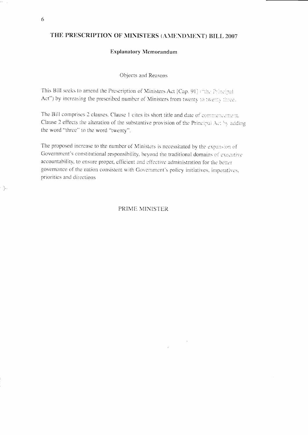### THE PRESCRIPTION OF MINISTERS (AMENDMENT) BILL 2007

#### **Explanatory Memorandum**

Objects and Reasons

This Bill seeks to amend the Prescription of Ministers Act [Cap. 91] ("the Principal Act") by increasing the prescribed number of Ministers from twenty to twenty three.

The Bill comprises 2 clauses. Clause 1 cites its short title and date of commencement. Clause 2 effects the alteration of the substantive provision of the Principal Act by adding the word "three" to the word "twenty".

The proposed increase to the number of Ministers is necessitated by the expansion of Government's constitutional responsibility, beyond the traditional domains of executive accountability, to ensure proper, efficient and effective administration for the better governance of the nation consistent with Government's policy initiatives, imperatives, priorities and directions

PRIME MINISTER

 $\sum$